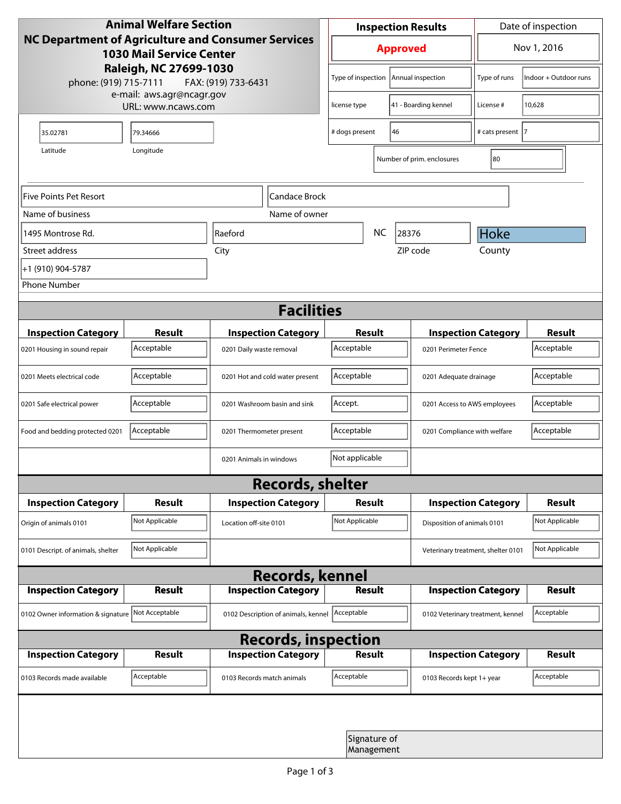| <b>Animal Welfare Section</b><br><b>NC Department of Agriculture and Consumer Services</b><br><b>1030 Mail Service Center</b> |                |                                     |                            | <b>Inspection Results</b> |                                         |                            |                                    | Date of inspection    |  |  |
|-------------------------------------------------------------------------------------------------------------------------------|----------------|-------------------------------------|----------------------------|---------------------------|-----------------------------------------|----------------------------|------------------------------------|-----------------------|--|--|
|                                                                                                                               |                |                                     |                            | <b>Approved</b>           |                                         |                            |                                    | Nov 1, 2016           |  |  |
| Raleigh, NC 27699-1030<br>phone: (919) 715-7111                                                                               |                |                                     | FAX: (919) 733-6431        |                           | Type of inspection<br>Annual inspection |                            | Type of runs                       | Indoor + Outdoor runs |  |  |
| e-mail: aws.agr@ncagr.gov<br>URL: www.ncaws.com                                                                               |                |                                     |                            | license type              |                                         | 41 - Boarding kennel       | License #                          | 10,628                |  |  |
| 35.02781                                                                                                                      | 79.34666       |                                     | 46<br># dogs present       |                           |                                         | # cats present  7          |                                    |                       |  |  |
| Latitude                                                                                                                      | Longitude      |                                     |                            |                           |                                         | Number of prim. enclosures | 80                                 |                       |  |  |
| Five Points Pet Resort<br>Candace Brock                                                                                       |                |                                     |                            |                           |                                         |                            |                                    |                       |  |  |
| Name of business                                                                                                              |                |                                     | Name of owner              |                           |                                         |                            |                                    |                       |  |  |
| 1495 Montrose Rd.                                                                                                             | Raeford        |                                     |                            |                           | <b>NC</b>                               | 28376                      | Hoke                               |                       |  |  |
| Street address                                                                                                                |                | City                                |                            |                           |                                         | ZIP code                   | County                             |                       |  |  |
| +1 (910) 904-5787                                                                                                             |                |                                     |                            |                           |                                         |                            |                                    |                       |  |  |
| <b>Phone Number</b>                                                                                                           |                |                                     |                            |                           |                                         |                            |                                    |                       |  |  |
| <b>Facilities</b>                                                                                                             |                |                                     |                            |                           |                                         |                            |                                    |                       |  |  |
| <b>Inspection Category</b>                                                                                                    | <b>Result</b>  |                                     | <b>Inspection Category</b> | Result                    |                                         |                            | <b>Inspection Category</b>         | <b>Result</b>         |  |  |
| 0201 Housing in sound repair                                                                                                  | Acceptable     | 0201 Daily waste removal            |                            | Acceptable                |                                         | 0201 Perimeter Fence       |                                    | Acceptable            |  |  |
| 0201 Meets electrical code                                                                                                    | Acceptable     | 0201 Hot and cold water present     | Acceptable                 |                           | 0201 Adequate drainage                  |                            | Acceptable                         |                       |  |  |
| 0201 Safe electrical power                                                                                                    | Acceptable     | 0201 Washroom basin and sink        |                            | Accept.                   |                                         |                            | 0201 Access to AWS employees       | Acceptable            |  |  |
| Food and bedding protected 0201                                                                                               | Acceptable     | 0201 Thermometer present            |                            | Acceptable                |                                         |                            | 0201 Compliance with welfare       | Acceptable            |  |  |
|                                                                                                                               |                | 0201 Animals in windows             |                            | Not applicable            |                                         |                            |                                    |                       |  |  |
| <b>Records, shelter</b>                                                                                                       |                |                                     |                            |                           |                                         |                            |                                    |                       |  |  |
| <b>Inspection Category</b>                                                                                                    | Result         |                                     | <b>Inspection Category</b> | Result                    |                                         |                            | <b>Inspection Category</b>         | <b>Result</b>         |  |  |
| Origin of animals 0101                                                                                                        | Not Applicable | Location off-site 0101              |                            | Not Applicable            |                                         |                            | Disposition of animals 0101        | Not Applicable        |  |  |
| 0101 Descript. of animals, shelter                                                                                            | Not Applicable |                                     |                            |                           |                                         |                            | Veterinary treatment, shelter 0101 | Not Applicable        |  |  |
| <b>Records, kennel</b>                                                                                                        |                |                                     |                            |                           |                                         |                            |                                    |                       |  |  |
| <b>Inspection Category</b>                                                                                                    | Result         |                                     | <b>Inspection Category</b> |                           | <b>Result</b>                           |                            | <b>Inspection Category</b>         | Result                |  |  |
| 0102 Owner information & signature Not Acceptable                                                                             |                | 0102 Description of animals, kennel |                            | Acceptable                |                                         |                            | 0102 Veterinary treatment, kennel  | Acceptable            |  |  |
| <b>Records, inspection</b>                                                                                                    |                |                                     |                            |                           |                                         |                            |                                    |                       |  |  |
| <b>Inspection Category</b>                                                                                                    | <b>Result</b>  |                                     | <b>Inspection Category</b> |                           | Result                                  |                            | <b>Inspection Category</b>         | <b>Result</b>         |  |  |
| 0103 Records made available                                                                                                   | Acceptable     | 0103 Records match animals          |                            | Acceptable                |                                         |                            | 0103 Records kept 1+ year          | Acceptable            |  |  |
|                                                                                                                               |                |                                     |                            |                           |                                         |                            |                                    |                       |  |  |
|                                                                                                                               |                |                                     |                            |                           | Signature of<br>Management              |                            |                                    |                       |  |  |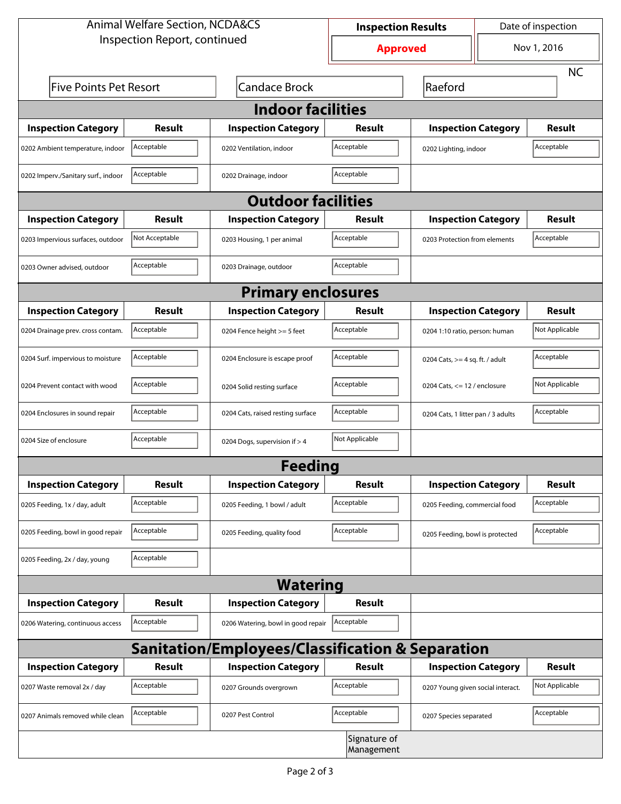| <b>Animal Welfare Section, NCDA&amp;CS</b>                  |                                                       |                                    | <b>Inspection Results</b>  |                                    | Date of inspection             |                |  |  |  |
|-------------------------------------------------------------|-------------------------------------------------------|------------------------------------|----------------------------|------------------------------------|--------------------------------|----------------|--|--|--|
| Inspection Report, continued                                |                                                       |                                    | <b>Approved</b>            |                                    | Nov 1, 2016                    |                |  |  |  |
|                                                             |                                                       |                                    |                            |                                    |                                | <b>NC</b>      |  |  |  |
|                                                             | <b>Candace Brock</b><br><b>Five Points Pet Resort</b> |                                    |                            | Raeford                            |                                |                |  |  |  |
| <b>Indoor facilities</b>                                    |                                                       |                                    |                            |                                    |                                |                |  |  |  |
| <b>Inspection Category</b>                                  | Result                                                | <b>Inspection Category</b>         | Result                     | <b>Inspection Category</b>         |                                | Result         |  |  |  |
| 0202 Ambient temperature, indoor                            | Acceptable                                            | 0202 Ventilation, indoor           | Acceptable                 | 0202 Lighting, indoor              |                                | Acceptable     |  |  |  |
| 0202 Imperv./Sanitary surf., indoor                         | Acceptable                                            | 0202 Drainage, indoor              | Acceptable                 |                                    |                                |                |  |  |  |
| <b>Outdoor facilities</b>                                   |                                                       |                                    |                            |                                    |                                |                |  |  |  |
| <b>Inspection Category</b>                                  | Result                                                | <b>Inspection Category</b>         | Result                     | <b>Inspection Category</b>         |                                | Result         |  |  |  |
| 0203 Impervious surfaces, outdoor                           | Not Acceptable                                        | 0203 Housing, 1 per animal         | Acceptable                 | 0203 Protection from elements      |                                | Acceptable     |  |  |  |
| 0203 Owner advised, outdoor                                 | Acceptable                                            | 0203 Drainage, outdoor             | Acceptable                 |                                    |                                |                |  |  |  |
| <b>Primary enclosures</b>                                   |                                                       |                                    |                            |                                    |                                |                |  |  |  |
| <b>Inspection Category</b>                                  | Result                                                | <b>Inspection Category</b>         | Result                     | <b>Inspection Category</b>         |                                | <b>Result</b>  |  |  |  |
| 0204 Drainage prev. cross contam.                           | Acceptable                                            | 0204 Fence height >= 5 feet        | Acceptable                 |                                    | 0204 1:10 ratio, person: human |                |  |  |  |
| 0204 Surf. impervious to moisture                           | Acceptable                                            | 0204 Enclosure is escape proof     | Acceptable                 | 0204 Cats, $>=$ 4 sq. ft. / adult  |                                | Acceptable     |  |  |  |
| 0204 Prevent contact with wood                              | Acceptable                                            | 0204 Solid resting surface         | Acceptable                 | 0204 Cats, $<= 12$ / enclosure     |                                | Not Applicable |  |  |  |
| 0204 Enclosures in sound repair                             | Acceptable                                            | 0204 Cats, raised resting surface  | Acceptable                 | 0204 Cats, 1 litter pan / 3 adults |                                | Acceptable     |  |  |  |
| 0204 Size of enclosure                                      | Acceptable                                            | 0204 Dogs, supervision if > 4      | Not Applicable             |                                    |                                |                |  |  |  |
|                                                             |                                                       | <b>Feeding</b>                     |                            |                                    |                                |                |  |  |  |
| <b>Inspection Category</b>                                  | <b>Result</b>                                         | <b>Inspection Category</b>         | Result                     | <b>Inspection Category</b>         |                                | <b>Result</b>  |  |  |  |
| 0205 Feeding, 1x / day, adult                               | Acceptable                                            | 0205 Feeding, 1 bowl / adult       | Acceptable                 | 0205 Feeding, commercial food      |                                | Acceptable     |  |  |  |
| 0205 Feeding, bowl in good repair                           | Acceptable                                            | 0205 Feeding, quality food         | Acceptable                 | 0205 Feeding, bowl is protected    |                                | Acceptable     |  |  |  |
| 0205 Feeding, 2x / day, young                               | Acceptable                                            |                                    |                            |                                    |                                |                |  |  |  |
|                                                             |                                                       | <b>Watering</b>                    |                            |                                    |                                |                |  |  |  |
| <b>Inspection Category</b>                                  | <b>Result</b>                                         | <b>Inspection Category</b>         | Result                     |                                    |                                |                |  |  |  |
| 0206 Watering, continuous access                            | Acceptable                                            | 0206 Watering, bowl in good repair | Acceptable                 |                                    |                                |                |  |  |  |
| <b>Sanitation/Employees/Classification &amp; Separation</b> |                                                       |                                    |                            |                                    |                                |                |  |  |  |
| <b>Inspection Category</b>                                  | <b>Result</b>                                         | <b>Inspection Category</b>         | Result                     | <b>Inspection Category</b>         |                                | <b>Result</b>  |  |  |  |
| 0207 Waste removal 2x / day                                 | Acceptable                                            | 0207 Grounds overgrown             | Acceptable                 | 0207 Young given social interact.  |                                | Not Applicable |  |  |  |
| 0207 Animals removed while clean                            | Acceptable                                            | 0207 Pest Control                  | Acceptable                 | 0207 Species separated             |                                | Acceptable     |  |  |  |
|                                                             |                                                       |                                    | Signature of<br>Management |                                    |                                |                |  |  |  |